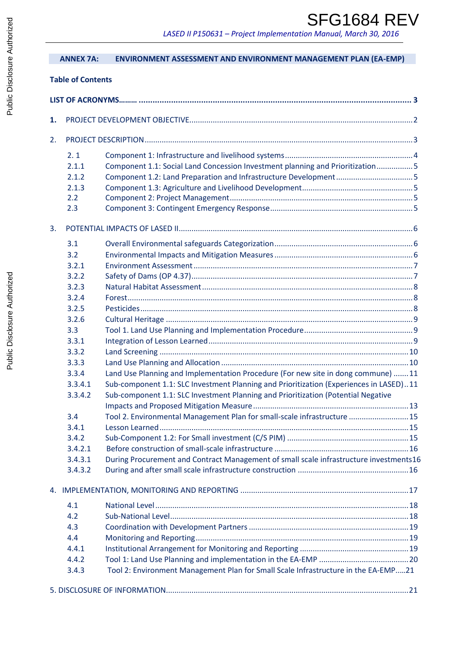# SFG1684 REV

 *LASED II P150631 – Project Implementation Manual, March 30, 2016*

|    | <b>ANNEX 7A:</b>         | ENVIRONMENT ASSESSMENT AND ENVIRONMENT MANAGEMENT PLAN (EA-EMP)                        |  |
|----|--------------------------|----------------------------------------------------------------------------------------|--|
|    | <b>Table of Contents</b> |                                                                                        |  |
|    |                          |                                                                                        |  |
|    |                          |                                                                                        |  |
| 1. |                          |                                                                                        |  |
| 2. |                          |                                                                                        |  |
|    | 2.1                      |                                                                                        |  |
|    | 2.1.1                    | Component 1.1: Social Land Concession Investment planning and Prioritization5          |  |
|    | 2.1.2                    |                                                                                        |  |
|    | 2.1.3                    |                                                                                        |  |
|    | 2.2                      |                                                                                        |  |
|    | 2.3                      |                                                                                        |  |
| 3. |                          |                                                                                        |  |
|    | 3.1                      |                                                                                        |  |
|    | 3.2                      |                                                                                        |  |
|    | 3.2.1                    |                                                                                        |  |
|    | 3.2.2                    |                                                                                        |  |
|    | 3.2.3                    |                                                                                        |  |
|    | 3.2.4                    |                                                                                        |  |
|    | 3.2.5                    |                                                                                        |  |
|    | 3.2.6                    |                                                                                        |  |
|    | 3.3                      |                                                                                        |  |
|    | 3.3.1                    |                                                                                        |  |
|    | 3.3.2                    |                                                                                        |  |
|    | 3.3.3                    |                                                                                        |  |
|    | 3.3.4                    | Land Use Planning and Implementation Procedure (For new site in dong commune) 11       |  |
|    | 3.3.4.1                  | Sub-component 1.1: SLC Investment Planning and Prioritization (Experiences in LASED)11 |  |
|    | 3.3.4.2                  | Sub-component 1.1: SLC Investment Planning and Prioritization (Potential Negative      |  |
|    |                          |                                                                                        |  |
|    | 3.4                      | Tool 2. Environmental Management Plan for small-scale infrastructure  15               |  |
|    | 3.4.1                    |                                                                                        |  |
|    | 3.4.2                    |                                                                                        |  |
|    | 3.4.2.1                  |                                                                                        |  |
|    | 3.4.3.1<br>3.4.3.2       | During Procurement and Contract Management of small scale infrastructure investments16 |  |
|    |                          |                                                                                        |  |
|    |                          |                                                                                        |  |
|    | 4.1                      |                                                                                        |  |
|    | 4.2                      |                                                                                        |  |
|    | 4.3                      |                                                                                        |  |
|    | 4.4                      |                                                                                        |  |
|    | 4.4.1                    |                                                                                        |  |
|    | 4.4.2                    |                                                                                        |  |
|    | 3.4.3                    | Tool 2: Environment Management Plan for Small Scale Infrastructure in the EA-EMP21     |  |
|    |                          |                                                                                        |  |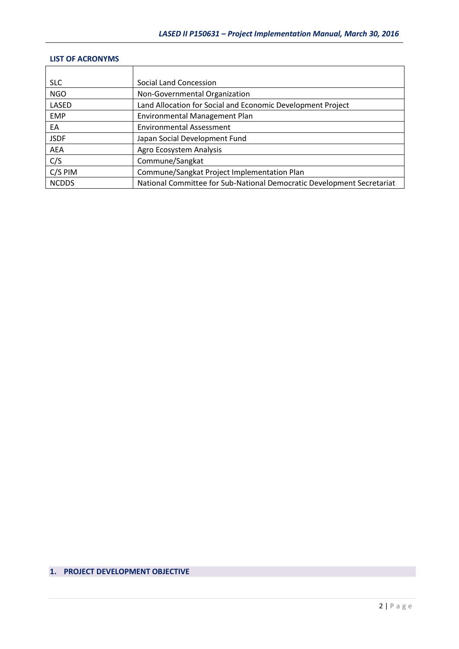# **LIST OF ACRONYMS**

| <b>SLC</b>   | Social Land Concession                                                 |
|--------------|------------------------------------------------------------------------|
| <b>NGO</b>   | Non-Governmental Organization                                          |
| LASED        | Land Allocation for Social and Economic Development Project            |
| <b>EMP</b>   | Environmental Management Plan                                          |
| EA           | <b>Environmental Assessment</b>                                        |
| <b>JSDF</b>  | Japan Social Development Fund                                          |
| AEA          | Agro Ecosystem Analysis                                                |
| C/S          | Commune/Sangkat                                                        |
| C/S PIM      | Commune/Sangkat Project Implementation Plan                            |
| <b>NCDDS</b> | National Committee for Sub-National Democratic Development Secretariat |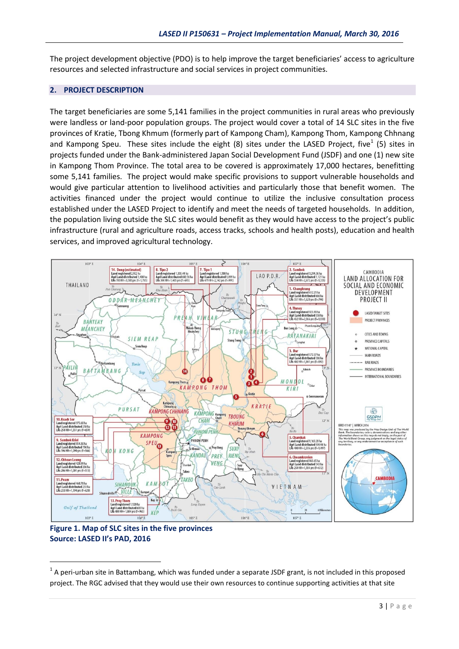The project development objective (PDO) is to help improve the target beneficiaries' access to agriculture resources and selected infrastructure and social services in project communities.

# **2. PROJECT DESCRIPTION**

The target beneficiaries are some 5,141 families in the project communities in rural areas who previously were landless or land-poor population groups. The project would cover a total of 14 SLC sites in the five provinces of Kratie, Tbong Khmum (formerly part of Kampong Cham), Kampong Thom, Kampong Chhnang and Kampong Speu. These sites include the eight (8) sites under the LASED Project, five<sup>1</sup> (5) sites in projects funded under the Bank-administered Japan Social Development Fund (JSDF) and one (1) new site in Kampong Thom Province. The total area to be covered is approximately 17,000 hectares, benefitting some 5,141 families. The project would make specific provisions to support vulnerable households and would give particular attention to livelihood activities and particularly those that benefit women. The activities financed under the project would continue to utilize the inclusive consultation process established under the LASED Project to identify and meet the needs of targeted households. In addition, the population living outside the SLC sites would benefit as they would have access to the project's public infrastructure (rural and agriculture roads, access tracks, schools and health posts), education and health services, and improved agricultural technology.



**Figure 1. Map of SLC sites in the five provinces Source: LASED II's PAD, 2016**

<u>.</u>

 $1$  A peri-urban site in Battambang, which was funded under a separate JSDF grant, is not included in this proposed project. The RGC advised that they would use their own resources to continue supporting activities at that site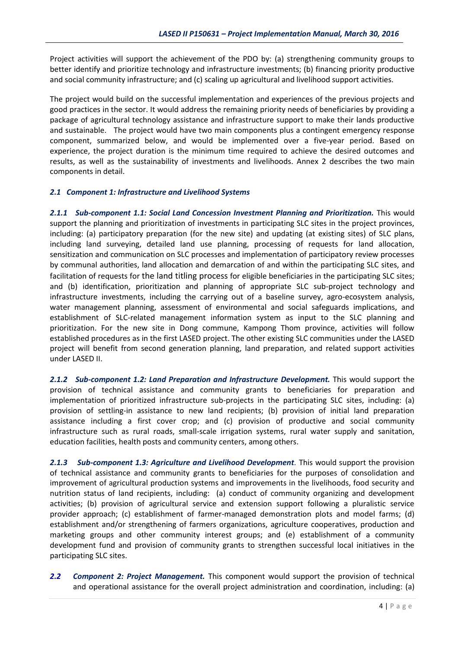Project activities will support the achievement of the PDO by: (a) strengthening community groups to better identify and prioritize technology and infrastructure investments; (b) financing priority productive and social community infrastructure; and (c) scaling up agricultural and livelihood support activities.

The project would build on the successful implementation and experiences of the previous projects and good practices in the sector. It would address the remaining priority needs of beneficiaries by providing a package of agricultural technology assistance and infrastructure support to make their lands productive and sustainable. The project would have two main components plus a contingent emergency response component, summarized below, and would be implemented over a five-year period. Based on experience, the project duration is the minimum time required to achieve the desired outcomes and results, as well as the sustainability of investments and livelihoods. Annex 2 describes the two main components in detail.

### *2.1 Component 1: Infrastructure and Livelihood Systems*

*2.1.1 Sub-component 1.1: Social Land Concession Investment Planning and Prioritization.* This would support the planning and prioritization of investments in participating SLC sites in the project provinces, including: (a) participatory preparation (for the new site) and updating (at existing sites) of SLC plans, including land surveying, detailed land use planning, processing of requests for land allocation, sensitization and communication on SLC processes and implementation of participatory review processes by communal authorities, land allocation and demarcation of and within the participating SLC sites, and facilitation of requests for the land titling process for eligible beneficiaries in the participating SLC sites; and (b) identification, prioritization and planning of appropriate SLC sub-project technology and infrastructure investments, including the carrying out of a baseline survey, agro-ecosystem analysis, water management planning, assessment of environmental and social safeguards implications, and establishment of SLC-related management information system as input to the SLC planning and prioritization. For the new site in Dong commune, Kampong Thom province, activities will follow established procedures as in the first LASED project. The other existing SLC communities under the LASED project will benefit from second generation planning, land preparation, and related support activities under LASED II.

*2.1.2 Sub-component 1.2: Land Preparation and Infrastructure Development.* This would support the provision of technical assistance and community grants to beneficiaries for preparation and implementation of prioritized infrastructure sub-projects in the participating SLC sites, including: (a) provision of settling-in assistance to new land recipients; (b) provision of initial land preparation assistance including a first cover crop; and (c) provision of productive and social community infrastructure such as rural roads, small-scale irrigation systems, rural water supply and sanitation, education facilities, health posts and community centers, among others.

*2.1.3 Sub-component 1.3: Agriculture and Livelihood Development.* This would support the provision of technical assistance and community grants to beneficiaries for the purposes of consolidation and improvement of agricultural production systems and improvements in the livelihoods, food security and nutrition status of land recipients, including: (a) conduct of community organizing and development activities; (b) provision of agricultural service and extension support following a pluralistic service provider approach; (c) establishment of farmer-managed demonstration plots and model farms; (d) establishment and/or strengthening of farmers organizations, agriculture cooperatives, production and marketing groups and other community interest groups; and (e) establishment of a community development fund and provision of community grants to strengthen successful local initiatives in the participating SLC sites.

*2.2 Component 2: Project Management.* This component would support the provision of technical and operational assistance for the overall project administration and coordination, including: (a)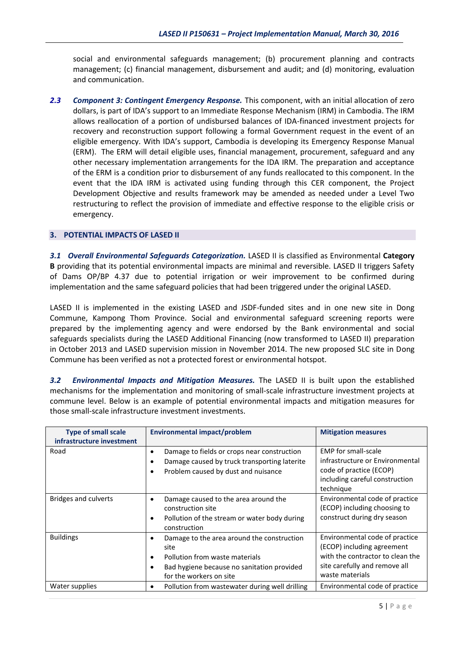social and environmental safeguards management; (b) procurement planning and contracts management; (c) financial management, disbursement and audit; and (d) monitoring, evaluation and communication.

*2.3 Component 3: Contingent Emergency Response.* This component, with an initial allocation of zero dollars, is part of IDA's support to an Immediate Response Mechanism (IRM) in Cambodia. The IRM allows reallocation of a portion of undisbursed balances of IDA-financed investment projects for recovery and reconstruction support following a formal Government request in the event of an eligible emergency. With IDA's support, Cambodia is developing its Emergency Response Manual (ERM). The ERM will detail eligible uses, financial management, procurement, safeguard and any other necessary implementation arrangements for the IDA IRM. The preparation and acceptance of the ERM is a condition prior to disbursement of any funds reallocated to this component. In the event that the IDA IRM is activated using funding through this CER component, the Project Development Objective and results framework may be amended as needed under a Level Two restructuring to reflect the provision of immediate and effective response to the eligible crisis or emergency.

#### **3. POTENTIAL IMPACTS OF LASED II**

*3.1 Overall Environmental Safeguards Categorization.* LASED II is classified as Environmental **Category B** providing that its potential environmental impacts are minimal and reversible. LASED II triggers Safety of Dams OP/BP 4.37 due to potential irrigation or weir improvement to be confirmed during implementation and the same safeguard policies that had been triggered under the original LASED.

LASED II is implemented in the existing LASED and JSDF-funded sites and in one new site in Dong Commune, Kampong Thom Province. Social and environmental safeguard screening reports were prepared by the implementing agency and were endorsed by the Bank environmental and social safeguards specialists during the LASED Additional Financing (now transformed to LASED II) preparation in October 2013 and LASED supervision mission in November 2014. The new proposed SLC site in Dong Commune has been verified as not a protected forest or environmental hotspot.

*3.2 Environmental Impacts and Mitigation Measures.* The LASED II is built upon the established mechanisms for the implementation and monitoring of small-scale infrastructure investment projects at commune level. Below is an example of potential environmental impacts and mitigation measures for those small-scale infrastructure investment investments.

| <b>Type of small scale</b><br>infrastructure investment | <b>Environmental impact/problem</b>                                                                                                                                             | <b>Mitigation measures</b>                                                                                                                           |
|---------------------------------------------------------|---------------------------------------------------------------------------------------------------------------------------------------------------------------------------------|------------------------------------------------------------------------------------------------------------------------------------------------------|
| Road                                                    | Damage to fields or crops near construction<br>$\bullet$<br>Damage caused by truck transporting laterite<br>٠<br>Problem caused by dust and nuisance<br>٠                       | <b>EMP</b> for small-scale<br>infrastructure or Environmental<br>code of practice (ECOP)<br>including careful construction<br>technique              |
| <b>Bridges and culverts</b>                             | Damage caused to the area around the<br>$\bullet$<br>construction site<br>Pollution of the stream or water body during<br>$\bullet$<br>construction                             | Environmental code of practice<br>(ECOP) including choosing to<br>construct during dry season                                                        |
| <b>Buildings</b>                                        | Damage to the area around the construction<br>٠<br>site<br>Pollution from waste materials<br>$\bullet$<br>Bad hygiene because no sanitation provided<br>for the workers on site | Environmental code of practice<br>(ECOP) including agreement<br>with the contractor to clean the<br>site carefully and remove all<br>waste materials |
| Water supplies                                          | Pollution from wastewater during well drilling<br>$\bullet$                                                                                                                     | Environmental code of practice                                                                                                                       |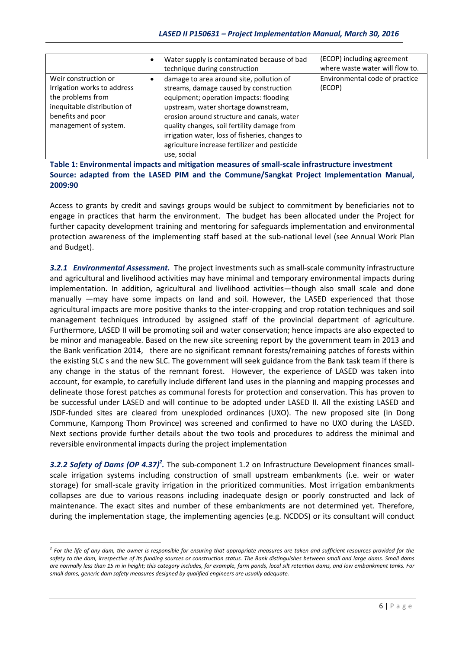|                                                                                                                                                       | Water supply is contaminated because of bad<br>technique during construction                                                                                                                                                                                                                                                                                                         | (ECOP) including agreement<br>where waste water will flow to. |
|-------------------------------------------------------------------------------------------------------------------------------------------------------|--------------------------------------------------------------------------------------------------------------------------------------------------------------------------------------------------------------------------------------------------------------------------------------------------------------------------------------------------------------------------------------|---------------------------------------------------------------|
| Weir construction or<br>Irrigation works to address<br>the problems from<br>inequitable distribution of<br>benefits and poor<br>management of system. | damage to area around site, pollution of<br>streams, damage caused by construction<br>equipment; operation impacts: flooding<br>upstream, water shortage downstream,<br>erosion around structure and canals, water<br>quality changes, soil fertility damage from<br>irrigation water, loss of fisheries, changes to<br>agriculture increase fertilizer and pesticide<br>use, social | Environmental code of practice<br>(ECOP)                      |

**Table 1: Environmental impacts and mitigation measures of small-scale infrastructure investment Source: adapted from the LASED PIM and the Commune/Sangkat Project Implementation Manual, 2009:90**

Access to grants by credit and savings groups would be subject to commitment by beneficiaries not to engage in practices that harm the environment. The budget has been allocated under the Project for further capacity development training and mentoring for safeguards implementation and environmental protection awareness of the implementing staff based at the sub-national level (see Annual Work Plan and Budget).

*3.2.1 Environmental Assessment.* The project investments such as small-scale community infrastructure and agricultural and livelihood activities may have minimal and temporary environmental impacts during implementation. In addition, agricultural and livelihood activities—though also small scale and done manually —may have some impacts on land and soil. However, the LASED experienced that those agricultural impacts are more positive thanks to the inter-cropping and crop rotation techniques and soil management techniques introduced by assigned staff of the provincial department of agriculture. Furthermore, LASED II will be promoting soil and water conservation; hence impacts are also expected to be minor and manageable. Based on the new site screening report by the government team in 2013 and the Bank verification 2014, there are no significant remnant forests/remaining patches of forests within the existing SLC s and the new SLC. The government will seek guidance from the Bank task team if there is any change in the status of the remnant forest. However, the experience of LASED was taken into account, for example, to carefully include different land uses in the planning and mapping processes and delineate those forest patches as communal forests for protection and conservation. This has proven to be successful under LASED and will continue to be adopted under LASED II. All the existing LASED and JSDF-funded sites are cleared from unexploded ordinances (UXO). The new proposed site (in Dong Commune, Kampong Thom Province) was screened and confirmed to have no UXO during the LASED. Next sections provide further details about the two tools and procedures to address the minimal and reversible environmental impacts during the project implementation

3.2.2 Safety of Dams (OP 4.37)<sup>2</sup>. The sub-component 1.2 on Infrastructure Development finances smallscale irrigation systems including construction of small upstream embankments (i.e. weir or water storage) for small-scale gravity irrigation in the prioritized communities. Most irrigation embankments collapses are due to various reasons including inadequate design or poorly constructed and lack of maintenance. The exact sites and number of these embankments are not determined yet. Therefore, during the implementation stage, the implementing agencies (e.g. NCDDS) or its consultant will conduct

<u>.</u>

*<sup>2</sup> For the life of any dam, the owner is responsible for ensuring that appropriate measures are taken and sufficient resources provided for the safety to the dam, irrespective of its funding sources or construction status. The Bank distinguishes between small and large dams. Small dams are normally less than 15 m in height; this category includes, for example, farm ponds, local silt retention dams, and low embankment tanks. For small dams, generic dam safety measures designed by qualified engineers are usually adequate.*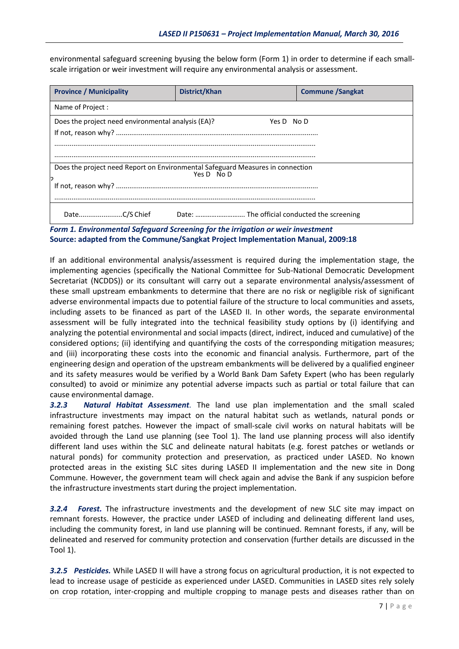environmental safeguard screening byusing the below form (Form 1) in order to determine if each smallscale irrigation or weir investment will require any environmental analysis or assessment.

| <b>Province / Municipality</b>                                                                   | District/Khan                               | <b>Commune /Sangkat</b> |  |  |  |  |  |
|--------------------------------------------------------------------------------------------------|---------------------------------------------|-------------------------|--|--|--|--|--|
| Name of Project:                                                                                 |                                             |                         |  |  |  |  |  |
| Does the project need environmental analysis (EA)?<br>Yes D No D                                 |                                             |                         |  |  |  |  |  |
| Does the project need Report on Environmental Safeguard Measures in connection<br>Yes $D$ No $D$ |                                             |                         |  |  |  |  |  |
| DateC/S Chief                                                                                    | Date:  The official conducted the screening |                         |  |  |  |  |  |

*Form 1. Environmental Safeguard Screening for the irrigation or weir investment*  **Source: adapted from the Commune/Sangkat Project Implementation Manual, 2009:18**

assessment will be fully integrated into the technical feasibility study options by (i) identifying and If an additional environmental analysis/assessment is required during the implementation stage, the implementing agencies (specifically the National Committee for Sub-National Democratic Development Secretariat (NCDDS)) or its consultant will carry out a separate environmental analysis/assessment of these small upstream embankments to determine that there are no risk or negligible risk of significant adverse environmental impacts due to potential failure of the structure to local communities and assets, including assets to be financed as part of the LASED II. In other words, the separate environmental analyzing the potential environmental and social impacts (direct, indirect, induced and cumulative) of the considered options; (ii) identifying and quantifying the costs of the corresponding mitigation measures; and (iii) incorporating these costs into the economic and financial analysis. Furthermore, part of the engineering design and operation of the upstream embankments will be delivered by a qualified engineer and its safety measures would be verified by a World Bank Dam Safety Expert (who has been regularly consulted) to avoid or minimize any potential adverse impacts such as partial or total failure that can cause environmental damage.

*3.2.3 Natural Habitat Assessment.* The land use plan implementation and the small scaled infrastructure investments may impact on the natural habitat such as wetlands, natural ponds or remaining forest patches. However the impact of small-scale civil works on natural habitats will be avoided through the Land use planning (see Tool 1). The land use planning process will also identify different land uses within the SLC and delineate natural habitats (e.g. forest patches or wetlands or natural ponds) for community protection and preservation, as practiced under LASED. No known protected areas in the existing SLC sites during LASED II implementation and the new site in Dong Commune. However, the government team will check again and advise the Bank if any suspicion before the infrastructure investments start during the project implementation.

*3.2.4 Forest.* The infrastructure investments and the development of new SLC site may impact on remnant forests. However, the practice under LASED of including and delineating different land uses, including the community forest, in land use planning will be continued. Remnant forests, if any, will be delineated and reserved for community protection and conservation (further details are discussed in the Tool 1).

*3.2.5 Pesticides.* While LASED II will have a strong focus on agricultural production, it is not expected to lead to increase usage of pesticide as experienced under LASED. Communities in LASED sites rely solely on crop rotation, inter-cropping and multiple cropping to manage pests and diseases rather than on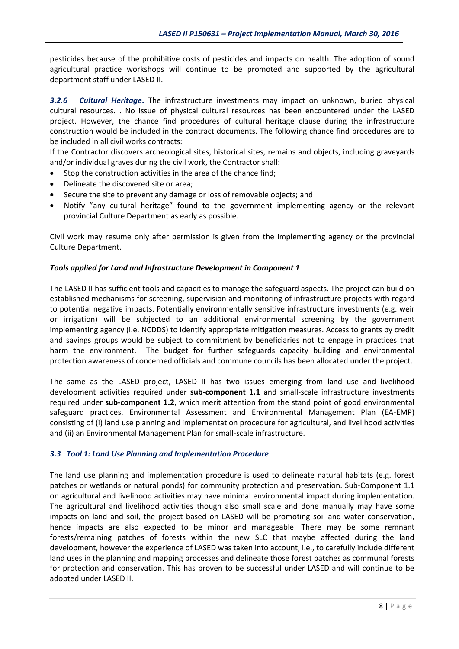pesticides because of the prohibitive costs of pesticides and impacts on health. The adoption of sound agricultural practice workshops will continue to be promoted and supported by the agricultural department staff under LASED II.

*3.2.6 Cultural Heritage***.** The infrastructure investments may impact on unknown, buried physical cultural resources. . No issue of physical cultural resources has been encountered under the LASED project. However, the chance find procedures of cultural heritage clause during the infrastructure construction would be included in the contract documents. The following chance find procedures are to be included in all civil works contracts:

If the Contractor discovers archeological sites, historical sites, remains and objects, including graveyards and/or individual graves during the civil work, the Contractor shall:

- Stop the construction activities in the area of the chance find;
- Delineate the discovered site or area;
- Secure the site to prevent any damage or loss of removable objects; and
- Notify "any cultural heritage" found to the government implementing agency or the relevant provincial Culture Department as early as possible.

Civil work may resume only after permission is given from the implementing agency or the provincial Culture Department.

#### *Tools applied for Land and Infrastructure Development in Component 1*

The LASED II has sufficient tools and capacities to manage the safeguard aspects. The project can build on established mechanisms for screening, supervision and monitoring of infrastructure projects with regard to potential negative impacts. Potentially environmentally sensitive infrastructure investments (e.g. weir or irrigation) will be subjected to an additional environmental screening by the government implementing agency (i.e. NCDDS) to identify appropriate mitigation measures. Access to grants by credit and savings groups would be subject to commitment by beneficiaries not to engage in practices that harm the environment. The budget for further safeguards capacity building and environmental protection awareness of concerned officials and commune councils has been allocated under the project.

The same as the LASED project, LASED II has two issues emerging from land use and livelihood development activities required under **sub-component 1.1** and small-scale infrastructure investments required under **sub-component 1.2**, which merit attention from the stand point of good environmental safeguard practices. Environmental Assessment and Environmental Management Plan (EA-EMP) consisting of (i) land use planning and implementation procedure for agricultural, and livelihood activities and (ii) an Environmental Management Plan for small-scale infrastructure.

#### *3.3 Tool 1: Land Use Planning and Implementation Procedure*

The land use planning and implementation procedure is used to delineate natural habitats (e.g. forest patches or wetlands or natural ponds) for community protection and preservation. Sub-Component 1.1 on agricultural and livelihood activities may have minimal environmental impact during implementation. The agricultural and livelihood activities though also small scale and done manually may have some impacts on land and soil, the project based on LASED will be promoting soil and water conservation, hence impacts are also expected to be minor and manageable. There may be some remnant forests/remaining patches of forests within the new SLC that maybe affected during the land development, however the experience of LASED was taken into account, i.e., to carefully include different land uses in the planning and mapping processes and delineate those forest patches as communal forests for protection and conservation. This has proven to be successful under LASED and will continue to be adopted under LASED II.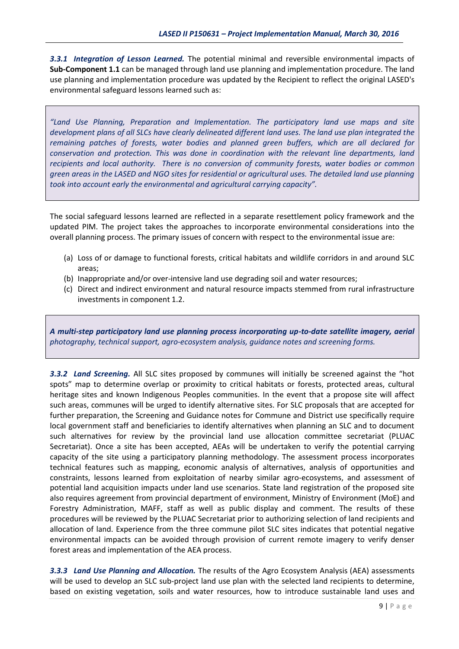*3.3.1 Integration of Lesson Learned.* The potential minimal and reversible environmental impacts of **Sub-Component 1.1** can be managed through land use planning and implementation procedure. The land use planning and implementation procedure was updated by the Recipient to reflect the original LASED's environmental safeguard lessons learned such as:

*"Land Use Planning, Preparation and Implementation. The participatory land use maps and site development plans of all SLCs have clearly delineated different land uses. The land use plan integrated the remaining patches of forests, water bodies and planned green buffers, which are all declared for conservation and protection. This was done in coordination with the relevant line departments, land recipients and local authority. There is no conversion of community forests, water bodies or common green areas in the LASED and NGO sites for residential or agricultural uses. The detailed land use planning took into account early the environmental and agricultural carrying capacity".*

The social safeguard lessons learned are reflected in a separate resettlement policy framework and the updated PIM. The project takes the approaches to incorporate environmental considerations into the overall planning process. The primary issues of concern with respect to the environmental issue are:

- (a) Loss of or damage to functional forests, critical habitats and wildlife corridors in and around SLC areas;
- (b) Inappropriate and/or over-intensive land use degrading soil and water resources;
- (c) Direct and indirect environment and natural resource impacts stemmed from rural infrastructure investments in component 1.2.

*A multi-step participatory land use planning process incorporating up-to-date satellite imagery, aerial photography, technical support, agro-ecosystem analysis, guidance notes and screening forms.*

*3.3.2 Land Screening.* All SLC sites proposed by communes will initially be screened against the "hot spots" map to determine overlap or proximity to critical habitats or forests, protected areas, cultural heritage sites and known Indigenous Peoples communities. In the event that a propose site will affect such areas, communes will be urged to identify alternative sites. For SLC proposals that are accepted for further preparation, the Screening and Guidance notes for Commune and District use specifically require local government staff and beneficiaries to identify alternatives when planning an SLC and to document such alternatives for review by the provincial land use allocation committee secretariat (PLUAC Secretariat). Once a site has been accepted, AEAs will be undertaken to verify the potential carrying capacity of the site using a participatory planning methodology. The assessment process incorporates technical features such as mapping, economic analysis of alternatives, analysis of opportunities and constraints, lessons learned from exploitation of nearby similar agro-ecosystems, and assessment of potential land acquisition impacts under land use scenarios. State land registration of the proposed site also requires agreement from provincial department of environment, Ministry of Environment (MoE) and Forestry Administration, MAFF, staff as well as public display and comment. The results of these procedures will be reviewed by the PLUAC Secretariat prior to authorizing selection of land recipients and allocation of land. Experience from the three commune pilot SLC sites indicates that potential negative environmental impacts can be avoided through provision of current remote imagery to verify denser forest areas and implementation of the AEA process.

*3.3.3 Land Use Planning and Allocation.* The results of the Agro Ecosystem Analysis (AEA) assessments will be used to develop an SLC sub-project land use plan with the selected land recipients to determine, based on existing vegetation, soils and water resources, how to introduce sustainable land uses and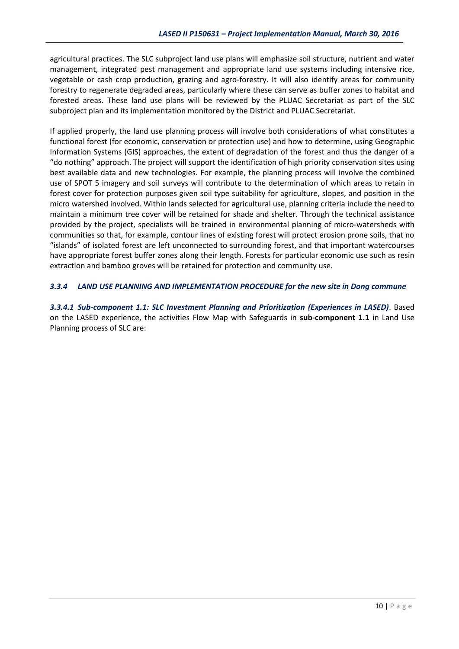agricultural practices. The SLC subproject land use plans will emphasize soil structure, nutrient and water management, integrated pest management and appropriate land use systems including intensive rice, vegetable or cash crop production, grazing and agro-forestry. It will also identify areas for community forestry to regenerate degraded areas, particularly where these can serve as buffer zones to habitat and forested areas. These land use plans will be reviewed by the PLUAC Secretariat as part of the SLC subproject plan and its implementation monitored by the District and PLUAC Secretariat.

If applied properly, the land use planning process will involve both considerations of what constitutes a functional forest (for economic, conservation or protection use) and how to determine, using Geographic Information Systems (GIS) approaches, the extent of degradation of the forest and thus the danger of a "do nothing" approach. The project will support the identification of high priority conservation sites using best available data and new technologies. For example, the planning process will involve the combined use of SPOT 5 imagery and soil surveys will contribute to the determination of which areas to retain in forest cover for protection purposes given soil type suitability for agriculture, slopes, and position in the micro watershed involved. Within lands selected for agricultural use, planning criteria include the need to maintain a minimum tree cover will be retained for shade and shelter. Through the technical assistance provided by the project, specialists will be trained in environmental planning of micro-watersheds with communities so that, for example, contour lines of existing forest will protect erosion prone soils, that no "islands" of isolated forest are left unconnected to surrounding forest, and that important watercourses have appropriate forest buffer zones along their length. Forests for particular economic use such as resin extraction and bamboo groves will be retained for protection and community use.

#### *3.3.4 LAND USE PLANNING AND IMPLEMENTATION PROCEDURE for the new site in Dong commune*

*3.3.4.1 Sub-component 1.1: SLC Investment Planning and Prioritization (Experiences in LASED)*. Based on the LASED experience, the activities Flow Map with Safeguards in **sub-component 1.1** in Land Use Planning process of SLC are: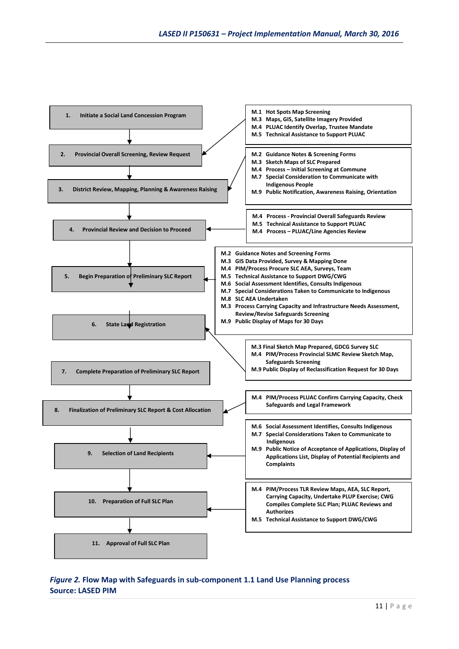

### *Figure 2.* **Flow Map with Safeguards in sub-component 1.1 Land Use Planning process Source: LASED PIM**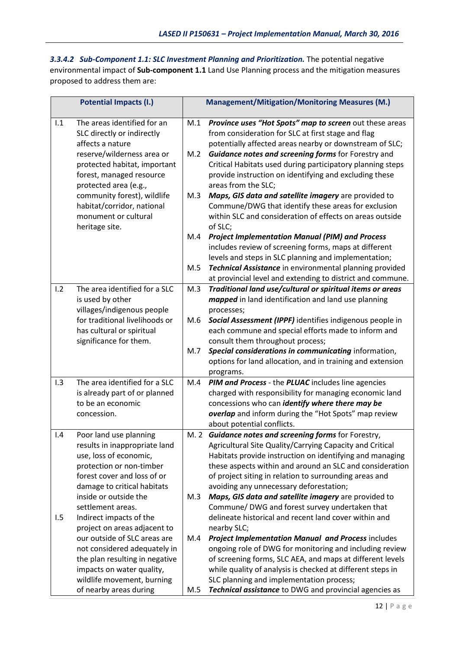*3.3.4.2 Sub-Component 1.1: SLC Investment Planning and Prioritization.* The potential negative environmental impact of **Sub-component 1.1** Land Use Planning process and the mitigation measures proposed to address them are:

|     | <b>Potential Impacts (I.)</b>                                                 |     | <b>Management/Mitigation/Monitoring Measures (M.)</b>                                                                                                                    |
|-----|-------------------------------------------------------------------------------|-----|--------------------------------------------------------------------------------------------------------------------------------------------------------------------------|
| 1.1 | The areas identified for an<br>SLC directly or indirectly<br>affects a nature | M.1 | Province uses "Hot Spots" map to screen out these areas<br>from consideration for SLC at first stage and flag<br>potentially affected areas nearby or downstream of SLC; |
|     | reserve/wilderness area or                                                    | M.2 | Guidance notes and screening forms for Forestry and                                                                                                                      |
|     | protected habitat, important                                                  |     | Critical Habitats used during participatory planning steps                                                                                                               |
|     | forest, managed resource                                                      |     | provide instruction on identifying and excluding these                                                                                                                   |
|     | protected area (e.g.,                                                         |     | areas from the SLC;                                                                                                                                                      |
|     | community forest), wildlife                                                   | M.3 | Maps, GIS data and satellite imagery are provided to                                                                                                                     |
|     | habitat/corridor, national<br>monument or cultural                            |     | Commune/DWG that identify these areas for exclusion<br>within SLC and consideration of effects on areas outside                                                          |
|     | heritage site.                                                                |     | of SLC;                                                                                                                                                                  |
|     |                                                                               | M.4 | <b>Project Implementation Manual (PIM) and Process</b>                                                                                                                   |
|     |                                                                               |     | includes review of screening forms, maps at different                                                                                                                    |
|     |                                                                               |     | levels and steps in SLC planning and implementation;                                                                                                                     |
|     |                                                                               | M.5 | Technical Assistance in environmental planning provided                                                                                                                  |
|     |                                                                               |     | at provincial level and extending to district and commune.                                                                                                               |
| 1.2 | The area identified for a SLC                                                 | M.3 | Traditional land use/cultural or spiritual items or areas                                                                                                                |
|     | is used by other<br>villages/indigenous people                                |     | mapped in land identification and land use planning                                                                                                                      |
|     | for traditional livelihoods or                                                | M.6 | processes;<br>Social Assessment (IPPF) identifies indigenous people in                                                                                                   |
|     | has cultural or spiritual                                                     |     | each commune and special efforts made to inform and                                                                                                                      |
|     | significance for them.                                                        |     | consult them throughout process;                                                                                                                                         |
|     |                                                                               | M.7 | Special considerations in communicating information,                                                                                                                     |
|     |                                                                               |     | options for land allocation, and in training and extension                                                                                                               |
|     |                                                                               |     | programs.                                                                                                                                                                |
| 1.3 | The area identified for a SLC                                                 | M.4 | PIM and Process - the PLUAC includes line agencies                                                                                                                       |
|     | is already part of or planned<br>to be an economic                            |     | charged with responsibility for managing economic land<br>concessions who can <i>identify where there may be</i>                                                         |
|     | concession.                                                                   |     | overlap and inform during the "Hot Spots" map review                                                                                                                     |
|     |                                                                               |     | about potential conflicts.                                                                                                                                               |
| 1.4 | Poor land use planning                                                        |     | M. 2 Guidance notes and screening forms for Forestry,                                                                                                                    |
|     | results in inappropriate land                                                 |     | Agricultural Site Quality/Carrying Capacity and Critical                                                                                                                 |
|     | use, loss of economic,                                                        |     | Habitats provide instruction on identifying and managing                                                                                                                 |
|     | protection or non-timber                                                      |     | these aspects within and around an SLC and consideration                                                                                                                 |
|     | forest cover and loss of or                                                   |     | of project siting in relation to surrounding areas and                                                                                                                   |
|     | damage to critical habitats<br>inside or outside the                          | M.3 | avoiding any unnecessary deforestation;<br>Maps, GIS data and satellite imagery are provided to                                                                          |
|     | settlement areas.                                                             |     | Commune/ DWG and forest survey undertaken that                                                                                                                           |
| 1.5 | Indirect impacts of the                                                       |     | delineate historical and recent land cover within and                                                                                                                    |
|     | project on areas adjacent to                                                  |     | nearby SLC;                                                                                                                                                              |
|     | our outside of SLC areas are                                                  | M.4 | Project Implementation Manual and Process includes                                                                                                                       |
|     | not considered adequately in                                                  |     | ongoing role of DWG for monitoring and including review                                                                                                                  |
|     | the plan resulting in negative                                                |     | of screening forms, SLC AEA, and maps at different levels                                                                                                                |
|     | impacts on water quality,                                                     |     | while quality of analysis is checked at different steps in                                                                                                               |
|     | wildlife movement, burning                                                    |     | SLC planning and implementation process;                                                                                                                                 |
|     | of nearby areas during                                                        | M.5 | Technical assistance to DWG and provincial agencies as                                                                                                                   |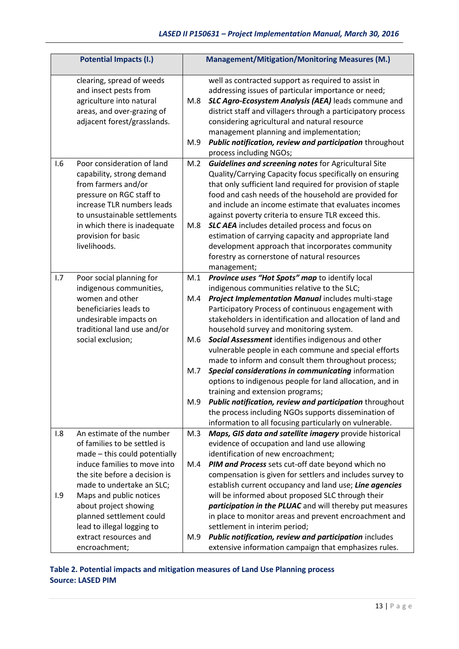| <b>Potential Impacts (I.)</b> |                                                                                                                                                                                                                                                                                                                                                  |                                 | <b>Management/Mitigation/Monitoring Measures (M.)</b>                                                                                                                                                                                                                                                                                                                                                                                                                                                                                                                                                                                                                                                                                                                                                                          |
|-------------------------------|--------------------------------------------------------------------------------------------------------------------------------------------------------------------------------------------------------------------------------------------------------------------------------------------------------------------------------------------------|---------------------------------|--------------------------------------------------------------------------------------------------------------------------------------------------------------------------------------------------------------------------------------------------------------------------------------------------------------------------------------------------------------------------------------------------------------------------------------------------------------------------------------------------------------------------------------------------------------------------------------------------------------------------------------------------------------------------------------------------------------------------------------------------------------------------------------------------------------------------------|
|                               | clearing, spread of weeds<br>and insect pests from<br>agriculture into natural<br>areas, and over-grazing of<br>adjacent forest/grasslands.                                                                                                                                                                                                      | M.8<br>M.9                      | well as contracted support as required to assist in<br>addressing issues of particular importance or need;<br>SLC Agro-Ecosystem Analysis (AEA) leads commune and<br>district staff and villagers through a participatory process<br>considering agricultural and natural resource<br>management planning and implementation;<br>Public notification, review and participation throughout<br>process including NGOs;                                                                                                                                                                                                                                                                                                                                                                                                           |
| 1.6                           | Poor consideration of land<br>capability, strong demand<br>from farmers and/or<br>pressure on RGC staff to<br>increase TLR numbers leads<br>to unsustainable settlements<br>in which there is inadequate<br>provision for basic<br>livelihoods.                                                                                                  | M.2<br>M.8                      | Guidelines and screening notes for Agricultural Site<br>Quality/Carrying Capacity focus specifically on ensuring<br>that only sufficient land required for provision of staple<br>food and cash needs of the household are provided for<br>and include an income estimate that evaluates incomes<br>against poverty criteria to ensure TLR exceed this.<br><b>SLC AEA</b> includes detailed process and focus on<br>estimation of carrying capacity and appropriate land<br>development approach that incorporates community<br>forestry as cornerstone of natural resources<br>management;                                                                                                                                                                                                                                    |
| 1.7                           | Poor social planning for<br>indigenous communities,<br>women and other<br>beneficiaries leads to<br>undesirable impacts on<br>traditional land use and/or<br>social exclusion;                                                                                                                                                                   | M.1<br>M.4<br>M.6<br>M.7<br>M.9 | Province uses "Hot Spots" map to identify local<br>indigenous communities relative to the SLC;<br>Project Implementation Manual includes multi-stage<br>Participatory Process of continuous engagement with<br>stakeholders in identification and allocation of land and<br>household survey and monitoring system.<br>Social Assessment identifies indigenous and other<br>vulnerable people in each commune and special efforts<br>made to inform and consult them throughout process;<br>Special considerations in communicating information<br>options to indigenous people for land allocation, and in<br>training and extension programs;<br>Public notification, review and participation throughout<br>the process including NGOs supports dissemination of<br>information to all focusing particularly on vulnerable. |
| 1.8<br>1.9                    | An estimate of the number<br>of families to be settled is<br>made - this could potentially<br>induce families to move into<br>the site before a decision is<br>made to undertake an SLC;<br>Maps and public notices<br>about project showing<br>planned settlement could<br>lead to illegal logging to<br>extract resources and<br>encroachment; | M.3<br>M.4<br>M.9               | Maps, GIS data and satellite imagery provide historical<br>evidence of occupation and land use allowing<br>identification of new encroachment;<br>PIM and Process sets cut-off date beyond which no<br>compensation is given for settlers and includes survey to<br>establish current occupancy and land use; Line agencies<br>will be informed about proposed SLC through their<br>participation in the PLUAC and will thereby put measures<br>in place to monitor areas and prevent encroachment and<br>settlement in interim period;<br>Public notification, review and participation includes<br>extensive information campaign that emphasizes rules.                                                                                                                                                                     |

# **Table 2. Potential impacts and mitigation measures of Land Use Planning process Source: LASED PIM**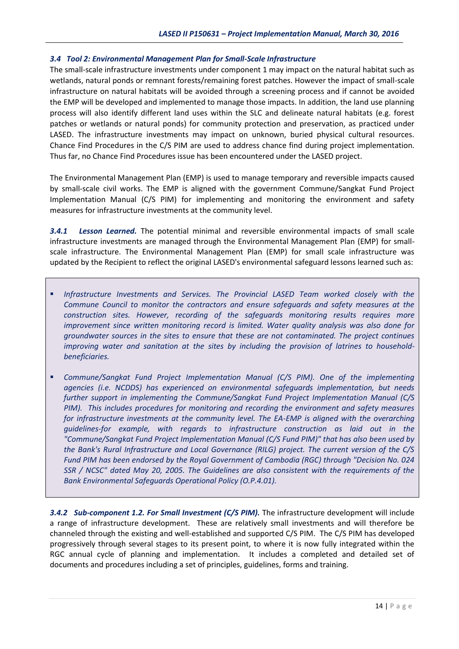#### *3.4 Tool 2: Environmental Management Plan for Small-Scale Infrastructure*

The small-scale infrastructure investments under component 1 may impact on the natural habitat such as wetlands, natural ponds or remnant forests/remaining forest patches. However the impact of small-scale infrastructure on natural habitats will be avoided through a screening process and if cannot be avoided the EMP will be developed and implemented to manage those impacts. In addition, the land use planning process will also identify different land uses within the SLC and delineate natural habitats (e.g. forest patches or wetlands or natural ponds) for community protection and preservation, as practiced under LASED. The infrastructure investments may impact on unknown, buried physical cultural resources. Chance Find Procedures in the C/S PIM are used to address chance find during project implementation. Thus far, no Chance Find Procedures issue has been encountered under the LASED project.

The Environmental Management Plan (EMP) is used to manage temporary and reversible impacts caused by small-scale civil works. The EMP is aligned with the government Commune/Sangkat Fund Project Implementation Manual (C/S PIM) for implementing and monitoring the environment and safety measures for infrastructure investments at the community level.

*3.4.1 Lesson Learned.* The potential minimal and reversible environmental impacts of small scale infrastructure investments are managed through the Environmental Management Plan (EMP) for smallscale infrastructure. The Environmental Management Plan (EMP) for small scale infrastructure was updated by the Recipient to reflect the original LASED's environmental safeguard lessons learned such as:

- **Infrastructure Investments and Services. The Provincial LASED Team worked closely with the** *Commune Council to monitor the contractors and ensure safeguards and safety measures at the construction sites. However, recording of the safeguards monitoring results requires more improvement since written monitoring record is limited. Water quality analysis was also done for groundwater sources in the sites to ensure that these are not contaminated. The project continues improving water and sanitation at the sites by including the provision of latrines to householdbeneficiaries.*
- *Commune/Sangkat Fund Project Implementation Manual (C/S PIM). One of the implementing agencies (i.e. NCDDS) has experienced on environmental safeguards implementation, but needs further support in implementing the Commune/Sangkat Fund Project Implementation Manual (C/S PIM). This includes procedures for monitoring and recording the environment and safety measures for infrastructure investments at the community level. The EA-EMP is aligned with the overarching guidelines-for example, with regards to infrastructure construction as laid out in the "Commune/Sangkat Fund Project Implementation Manual (C/S Fund PIM)" that has also been used by the Bank's Rural Infrastructure and Local Governance (RILG) project. The current version of the C/S Fund PIM has been endorsed by the Royal Government of Cambodia (RGC) through "Decision No. 024 SSR / NCSC" dated May 20, 2005. The Guidelines are also consistent with the requirements of the Bank Environmental Safeguards Operational Policy (O.P.4.01).*

*3.4.2 Sub-component 1.2. For Small Investment (C/S PIM).* The infrastructure development will include a range of infrastructure development. These are relatively small investments and will therefore be channeled through the existing and well-established and supported C/S PIM. The C/S PIM has developed progressively through several stages to its present point, to where it is now fully integrated within the RGC annual cycle of planning and implementation. It includes a completed and detailed set of documents and procedures including a set of principles, guidelines, forms and training.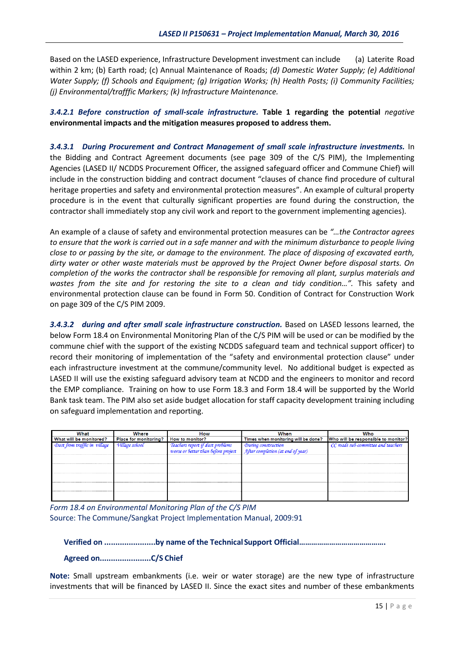Based on the LASED experience, Infrastructure Development investment can include (a) Laterite Road within 2 km; (b) Earth road; (c) Annual Maintenance of Roads; *(d) Domestic Water Supply; (e) Additional Water Supply; (f) Schools and Equipment; (g) Irrigation Works; (h) Health Posts; (i) Community Facilities; (j) Environmental/trafffic Markers; (k) Infrastructure Maintenance.* 

*3.4.2.1 Before construction of small-scale infrastructure.* **Table 1 regarding the potential** *negative* **environmental impacts and the mitigation measures proposed to address them.** 

*3.4.3.1 During Procurement and Contract Management of small scale infrastructure investments.* In the Bidding and Contract Agreement documents (see page 309 of the C/S PIM), the Implementing Agencies (LASED II/ NCDDS Procurement Officer, the assigned safeguard officer and Commune Chief) will include in the construction bidding and contract document "clauses of chance find procedure of cultural heritage properties and safety and environmental protection measures". An example of cultural property procedure is in the event that culturally significant properties are found during the construction, the contractor shall immediately stop any civil work and report to the government implementing agencies).

An example of a clause of safety and environmental protection measures can be *"…the Contractor agrees to ensure that the work is carried out in a safe manner and with the minimum disturbance to people living close to or passing by the site, or damage to the environment. The place of disposing of excavated earth, dirty water or other waste materials must be approved by the Project Owner before disposal starts. On completion of the works the contractor shall be responsible for removing all plant, surplus materials and wastes from the site and for restoring the site to a clean and tidy condition…".* This safety and environmental protection clause can be found in Form 50. Condition of Contract for Construction Work on page 309 of the C/S PIM 2009.

*3.4.3.2 during and after small scale infrastructure construction.* Based on LASED lessons learned, the below Form 18.4 on Environmental Monitoring Plan of the C/S PIM will be used or can be modified by the commune chief with the support of the existing NCDDS safeguard team and technical support officer) to record their monitoring of implementation of the "safety and environmental protection clause" under each infrastructure investment at the commune/community level. No additional budget is expected as LASED II will use the existing safeguard advisory team at NCDD and the engineers to monitor and record the EMP compliance. Training on how to use Form 18.3 and Form 18.4 will be supported by the World Bank task team. The PIM also set aside budget allocation for staff capacity development training including on safeguard implementation and reporting.

| What                    | Where                        | <b>How</b>                 | When                                                                    | Who                                 |
|-------------------------|------------------------------|----------------------------|-------------------------------------------------------------------------|-------------------------------------|
| What will be monitored? | <b>Place for monitoring?</b> | <b>How to monitor?</b>     | Times when monitoring will be done? Who will be responsible to monitor? |                                     |
|                         |                              |                            | During construction<br>After completion (at end                         | CC roads sub-committee and teachers |
|                         |                              | project<br>worse or better | d of vear.                                                              |                                     |
|                         |                              |                            |                                                                         |                                     |
|                         |                              |                            |                                                                         |                                     |
|                         |                              |                            |                                                                         |                                     |
|                         |                              |                            |                                                                         |                                     |
|                         |                              |                            |                                                                         |                                     |
|                         |                              |                            |                                                                         |                                     |
|                         |                              |                            |                                                                         |                                     |
|                         |                              |                            |                                                                         |                                     |

*Form 18.4 on Environmental Monitoring Plan of the C/S PIM* Source: The Commune/Sangkat Project Implementation Manual, 2009:91

**Verified on .......................by name of the TechnicalSupport Official…………………………………….**

#### **Agreed on.......................C/S Chief**

**Note:** Small upstream embankments (i.e. weir or water storage) are the new type of infrastructure investments that will be financed by LASED II. Since the exact sites and number of these embankments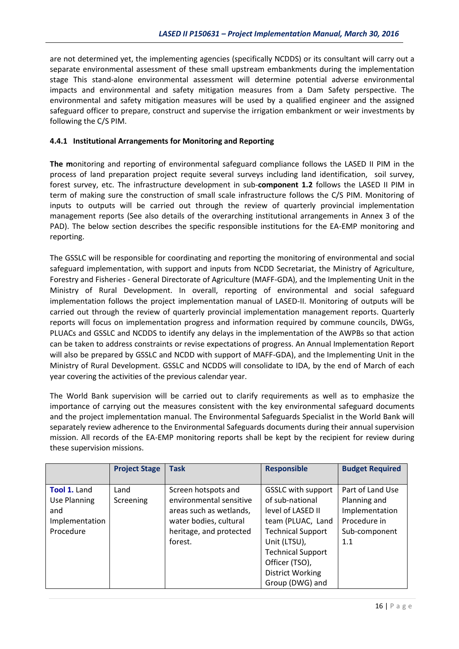are not determined yet, the implementing agencies (specifically NCDDS) or its consultant will carry out a separate environmental assessment of these small upstream embankments during the implementation stage This stand-alone environmental assessment will determine potential adverse environmental impacts and environmental and safety mitigation measures from a Dam Safety perspective. The environmental and safety mitigation measures will be used by a qualified engineer and the assigned safeguard officer to prepare, construct and supervise the irrigation embankment or weir investments by following the C/S PIM.

#### **4.4.1 Institutional Arrangements for Monitoring and Reporting**

**The m**onitoring and reporting of environmental safeguard compliance follows the LASED II PIM in the process of land preparation project requite several surveys including land identification, soil survey, forest survey, etc. The infrastructure development in sub-**component 1.2** follows the LASED II PIM in term of making sure the construction of small scale infrastructure follows the C/S PIM. Monitoring of inputs to outputs will be carried out through the review of quarterly provincial implementation management reports (See also details of the overarching institutional arrangements in Annex 3 of the PAD). The below section describes the specific responsible institutions for the EA-EMP monitoring and reporting.

The GSSLC will be responsible for coordinating and reporting the monitoring of environmental and social safeguard implementation, with support and inputs from NCDD Secretariat, the Ministry of Agriculture, Forestry and Fisheries - General Directorate of Agriculture (MAFF-GDA), and the Implementing Unit in the Ministry of Rural Development. In overall, reporting of environmental and social safeguard implementation follows the project implementation manual of LASED-II. Monitoring of outputs will be carried out through the review of quarterly provincial implementation management reports. Quarterly reports will focus on implementation progress and information required by commune councils, DWGs, PLUACs and GSSLC and NCDDS to identify any delays in the implementation of the AWPBs so that action can be taken to address constraints or revise expectations of progress. An Annual Implementation Report will also be prepared by GSSLC and NCDD with support of MAFF-GDA), and the Implementing Unit in the Ministry of Rural Development. GSSLC and NCDDS will consolidate to IDA, by the end of March of each year covering the activities of the previous calendar year.

The World Bank supervision will be carried out to clarify requirements as well as to emphasize the importance of carrying out the measures consistent with the key environmental safeguard documents and the project implementation manual. The Environmental Safeguards Specialist in the World Bank will separately review adherence to the Environmental Safeguards documents during their annual supervision mission. All records of the EA-EMP monitoring reports shall be kept by the recipient for review during these supervision missions.

|                | <b>Project Stage</b> | <b>Task</b>             | <b>Responsible</b>        | <b>Budget Required</b> |
|----------------|----------------------|-------------------------|---------------------------|------------------------|
|                |                      |                         |                           |                        |
| Tool 1. Land   | Land                 | Screen hotspots and     | <b>GSSLC with support</b> | Part of Land Use       |
| Use Planning   | Screening            | environmental sensitive | of sub-national           | Planning and           |
| and            |                      | areas such as wetlands, | level of LASED II         | Implementation         |
| Implementation |                      | water bodies, cultural  | team (PLUAC, Land         | Procedure in           |
| Procedure      |                      | heritage, and protected | <b>Technical Support</b>  | Sub-component          |
|                |                      | forest.                 | Unit (LTSU),              | 1.1                    |
|                |                      |                         | <b>Technical Support</b>  |                        |
|                |                      |                         | Officer (TSO),            |                        |
|                |                      |                         | <b>District Working</b>   |                        |
|                |                      |                         | Group (DWG) and           |                        |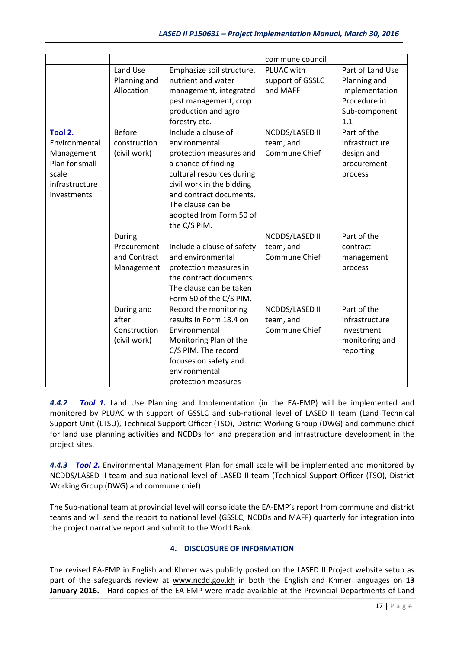|                                                                                                    |                                                     |                                                                                                                                                                                                                                             | commune council                              |                                                                                            |
|----------------------------------------------------------------------------------------------------|-----------------------------------------------------|---------------------------------------------------------------------------------------------------------------------------------------------------------------------------------------------------------------------------------------------|----------------------------------------------|--------------------------------------------------------------------------------------------|
|                                                                                                    | Land Use<br>Planning and<br>Allocation              | Emphasize soil structure,<br>nutrient and water<br>management, integrated<br>pest management, crop<br>production and agro<br>forestry etc.                                                                                                  | PLUAC with<br>support of GSSLC<br>and MAFF   | Part of Land Use<br>Planning and<br>Implementation<br>Procedure in<br>Sub-component<br>1.1 |
| Tool 2.<br>Environmental<br>Management<br>Plan for small<br>scale<br>infrastructure<br>investments | <b>Before</b><br>construction<br>(civil work)       | Include a clause of<br>environmental<br>protection measures and<br>a chance of finding<br>cultural resources during<br>civil work in the bidding<br>and contract documents.<br>The clause can be<br>adopted from Form 50 of<br>the C/S PIM. | NCDDS/LASED II<br>team, and<br>Commune Chief | Part of the<br>infrastructure<br>design and<br>procurement<br>process                      |
|                                                                                                    | During<br>Procurement<br>and Contract<br>Management | Include a clause of safety<br>and environmental<br>protection measures in<br>the contract documents.<br>The clause can be taken<br>Form 50 of the C/S PIM.                                                                                  | NCDDS/LASED II<br>team, and<br>Commune Chief | Part of the<br>contract<br>management<br>process                                           |
|                                                                                                    | During and<br>after<br>Construction<br>(civil work) | Record the monitoring<br>results in Form 18.4 on<br>Environmental<br>Monitoring Plan of the<br>C/S PIM. The record<br>focuses on safety and<br>environmental<br>protection measures                                                         | NCDDS/LASED II<br>team, and<br>Commune Chief | Part of the<br>infrastructure<br>investment<br>monitoring and<br>reporting                 |

*4.4.2 Tool 1.* Land Use Planning and Implementation (in the EA-EMP) will be implemented and monitored by PLUAC with support of GSSLC and sub-national level of LASED II team (Land Technical Support Unit (LTSU), Technical Support Officer (TSO), District Working Group (DWG) and commune chief for land use planning activities and NCDDs for land preparation and infrastructure development in the project sites.

*4.4.3 Tool 2.* Environmental Management Plan for small scale will be implemented and monitored by NCDDS/LASED II team and sub-national level of LASED II team (Technical Support Officer (TSO), District Working Group (DWG) and commune chief)

The Sub-national team at provincial level will consolidate the EA-EMP's report from commune and district teams and will send the report to national level (GSSLC, NCDDs and MAFF) quarterly for integration into the project narrative report and submit to the World Bank.

# **4. DISCLOSURE OF INFORMATION**

The revised EA-EMP in English and Khmer was publicly posted on the LASED II Project website setup as part of the safeguards review at www.ncdd.gov.kh in both the English and Khmer languages on **13 January 2016.** Hard copies of the EA-EMP were made available at the Provincial Departments of Land